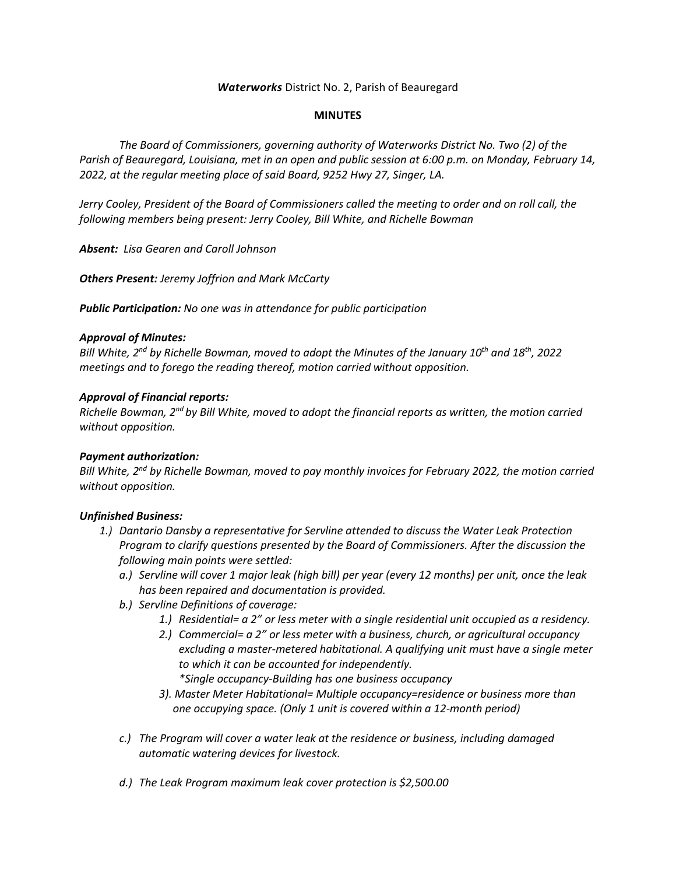### *Waterworks* District No. 2, Parish of Beauregard

#### **MINUTES**

*The Board of Commissioners, governing authority of Waterworks District No. Two (2) of the Parish of Beauregard, Louisiana, met in an open and public session at 6:00 p.m. on Monday, February 14, 2022, at the regular meeting place of said Board, 9252 Hwy 27, Singer, LA.*

*Jerry Cooley, President of the Board of Commissioners called the meeting to order and on roll call, the following members being present: Jerry Cooley, Bill White, and Richelle Bowman*

*Absent: Lisa Gearen and Caroll Johnson*

*Others Present: Jeremy Joffrion and Mark McCarty*

*Public Participation: No one was in attendance for public participation*

### *Approval of Minutes:*

*Bill White, 2nd by Richelle Bowman, moved to adopt the Minutes of the January 10th and 18th, 2022 meetings and to forego the reading thereof, motion carried without opposition.*

### *Approval of Financial reports:*

*Richelle Bowman, 2nd by Bill White, moved to adopt the financial reports as written, the motion carried without opposition.*

#### *Payment authorization:*

*Bill White, 2nd by Richelle Bowman, moved to pay monthly invoices for February 2022, the motion carried without opposition.*

#### *Unfinished Business:*

- *1.) Dantario Dansby a representative for Servline attended to discuss the Water Leak Protection Program to clarify questions presented by the Board of Commissioners. After the discussion the following main points were settled:*
	- *a.) Servline will cover 1 major leak (high bill) per year (every 12 months) per unit, once the leak has been repaired and documentation is provided.*
	- *b.) Servline Definitions of coverage:* 
		- *1.) Residential= a 2" or less meter with a single residential unit occupied as a residency.*
		- *2.) Commercial= a 2" or less meter with a business, church, or agricultural occupancy excluding a master-metered habitational. A qualifying unit must have a single meter to which it can be accounted for independently. \*Single occupancy-Building has one business occupancy*
		- *3). Master Meter Habitational= Multiple occupancy=residence or business more than one occupying space. (Only 1 unit is covered within a 12-month period)*
	- *c.) The Program will cover a water leak at the residence or business, including damaged automatic watering devices for livestock.*
	- *d.) The Leak Program maximum leak cover protection is \$2,500.00*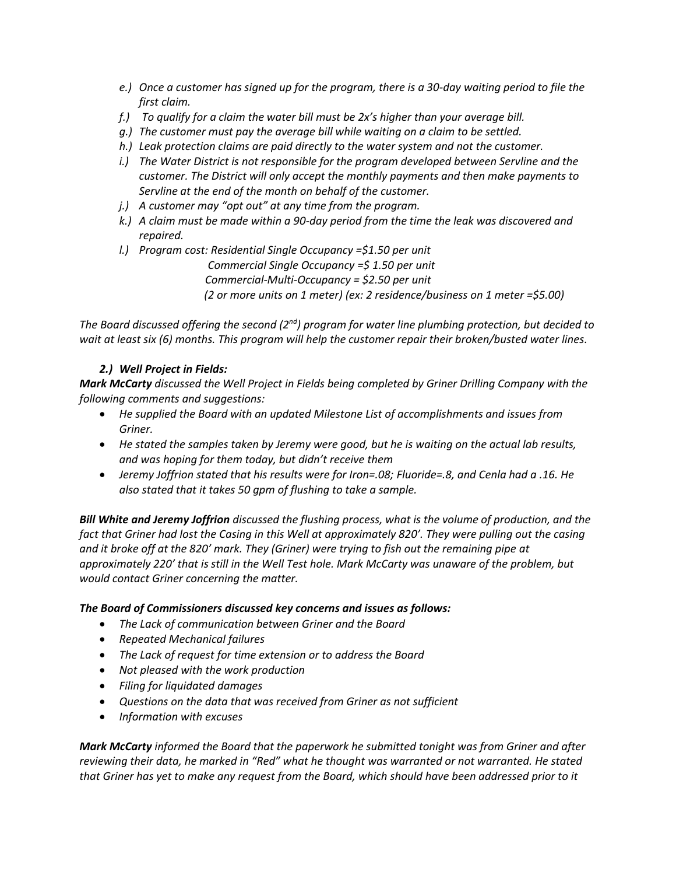- *e.) Once a customer has signed up for the program, there is a 30-day waiting period to file the first claim.*
- *f.) To qualify for a claim the water bill must be 2x's higher than your average bill.*
- *g.) The customer must pay the average bill while waiting on a claim to be settled.*
- *h.) Leak protection claims are paid directly to the water system and not the customer.*
- *i.*) The Water District is not responsible for the program developed between Servline and the *customer. The District will only accept the monthly payments and then make payments to Servline at the end of the month on behalf of the customer.*
- *j.) A customer may "opt out" at any time from the program.*
- *k.) A claim must be made within a 90-day period from the time the leak was discovered and repaired.*
- *l.) Program cost: Residential Single Occupancy =\$1.50 per unit Commercial Single Occupancy =\$ 1.50 per unit Commercial-Multi-Occupancy = \$2.50 per unit (2 or more units on 1 meter) (ex: 2 residence/business on 1 meter =\$5.00)*

*The Board discussed offering the second (2nd) program for water line plumbing protection, but decided to wait at least six (6) months. This program will help the customer repair their broken/busted water lines.*

# *2.) Well Project in Fields:*

*Mark McCarty discussed the Well Project in Fields being completed by Griner Drilling Company with the following comments and suggestions:*

- *He supplied the Board with an updated Milestone List of accomplishments and issues from Griner.*
- *He stated the samples taken by Jeremy were good, but he is waiting on the actual lab results, and was hoping for them today, but didn't receive them*
- *Jeremy Joffrion stated that his results were for Iron=.08; Fluoride=.8, and Cenla had a .16. He also stated that it takes 50 gpm of flushing to take a sample.*

*Bill White and Jeremy Joffrion discussed the flushing process, what is the volume of production, and the fact that Griner had lost the Casing in this Well at approximately 820'. They were pulling out the casing and it broke off at the 820' mark. They (Griner) were trying to fish out the remaining pipe at approximately 220' that is still in the Well Test hole. Mark McCarty was unaware of the problem, but would contact Griner concerning the matter.*

# *The Board of Commissioners discussed key concerns and issues as follows:*

- *The Lack of communication between Griner and the Board*
- *Repeated Mechanical failures*
- *The Lack of request for time extension or to address the Board*
- *Not pleased with the work production*
- *Filing for liquidated damages*
- *Questions on the data that was received from Griner as not sufficient*
- *Information with excuses*

*Mark McCarty informed the Board that the paperwork he submitted tonight was from Griner and after reviewing their data, he marked in "Red" what he thought was warranted or not warranted. He stated that Griner has yet to make any request from the Board, which should have been addressed prior to it*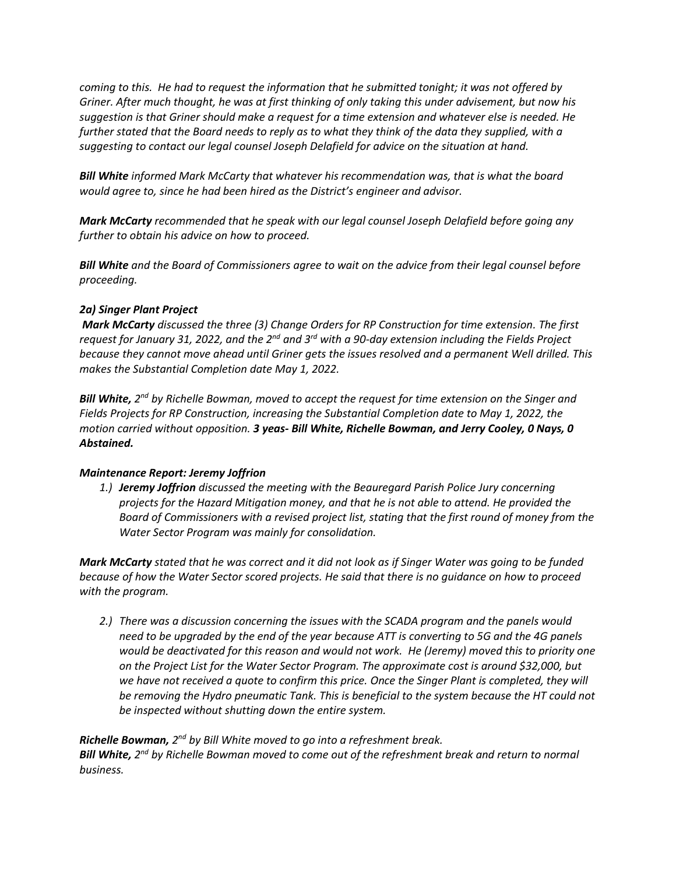*coming to this. He had to request the information that he submitted tonight; it was not offered by Griner. After much thought, he was at first thinking of only taking this under advisement, but now his suggestion is that Griner should make a request for a time extension and whatever else is needed. He further stated that the Board needs to reply as to what they think of the data they supplied, with a suggesting to contact our legal counsel Joseph Delafield for advice on the situation at hand.*

*Bill White informed Mark McCarty that whatever his recommendation was, that is what the board would agree to, since he had been hired as the District's engineer and advisor.*

*Mark McCarty recommended that he speak with our legal counsel Joseph Delafield before going any further to obtain his advice on how to proceed.*

*Bill White and the Board of Commissioners agree to wait on the advice from their legal counsel before proceeding.*

# *2a) Singer Plant Project*

*Mark McCarty discussed the three (3) Change Orders for RP Construction for time extension. The first request for January 31, 2022, and the 2nd and 3rd with a 90-day extension including the Fields Project because they cannot move ahead until Griner gets the issues resolved and a permanent Well drilled. This makes the Substantial Completion date May 1, 2022.* 

**Bill White,** 2<sup>nd</sup> by Richelle Bowman, moved to accept the request for time extension on the Singer and *Fields Projects for RP Construction, increasing the Substantial Completion date to May 1, 2022, the motion carried without opposition. 3 yeas- Bill White, Richelle Bowman, and Jerry Cooley, 0 Nays, 0 Abstained.*

# *Maintenance Report: Jeremy Joffrion*

*1.) Jeremy Joffrion discussed the meeting with the Beauregard Parish Police Jury concerning projects for the Hazard Mitigation money, and that he is not able to attend. He provided the Board of Commissioners with a revised project list, stating that the first round of money from the Water Sector Program was mainly for consolidation.*

*Mark McCarty stated that he was correct and it did not look as if Singer Water was going to be funded because of how the Water Sector scored projects. He said that there is no guidance on how to proceed with the program.*

*2.) There was a discussion concerning the issues with the SCADA program and the panels would need to be upgraded by the end of the year because ATT is converting to 5G and the 4G panels would be deactivated for this reason and would not work. He (Jeremy) moved this to priority one on the Project List for the Water Sector Program. The approximate cost is around \$32,000, but*  we have not received a quote to confirm this price. Once the Singer Plant is completed, they will *be removing the Hydro pneumatic Tank. This is beneficial to the system because the HT could not be inspected without shutting down the entire system.*

Richelle Bowman, 2<sup>nd</sup> by Bill White moved to go into a refreshment break. Bill White, 2<sup>nd</sup> by Richelle Bowman moved to come out of the refreshment break and return to normal *business.*